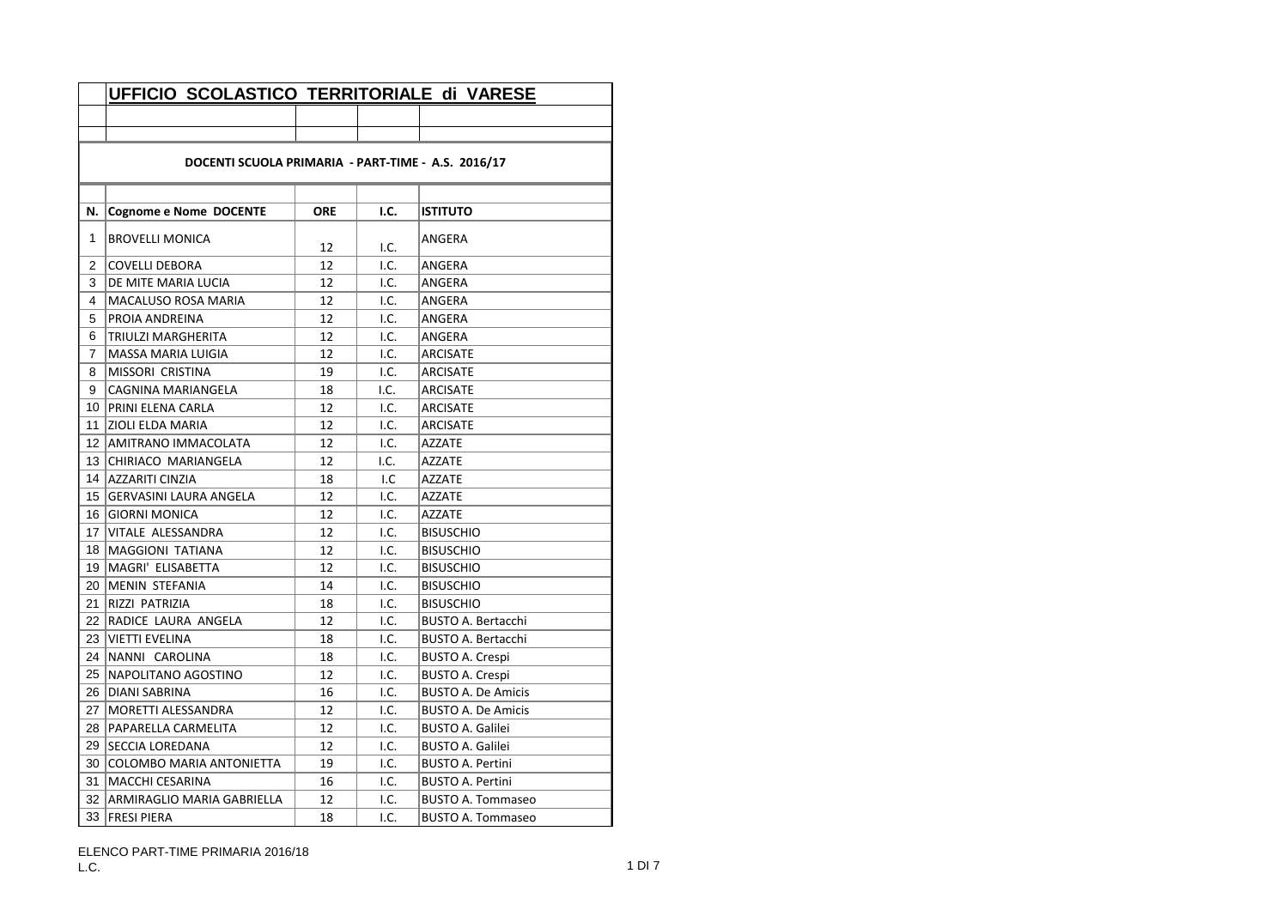| DOCENTI SCUOLA PRIMARIA - PART-TIME - A.S. 2016/17<br>N.<br><b>Cognome e Nome DOCENTE</b><br><b>ORE</b><br>I.C.<br><b>ISTITUTO</b><br>1<br><b>BROVELLI MONICA</b><br>ANGERA<br>12<br>I.C.<br>2<br>I.C.<br><b>COVELLI DEBORA</b><br>12<br>ANGERA<br>3<br>I.C.<br>DE MITE MARIA LUCIA<br>12<br>ANGERA<br>4<br>I.C.<br>MACALUSO ROSA MARIA<br>12<br>ANGERA<br>5<br>12<br>I.C.<br>ANGERA | UFFICIO SCOLASTICO TERRITORIALE di VARESE |  |  |  |  |  |  |
|--------------------------------------------------------------------------------------------------------------------------------------------------------------------------------------------------------------------------------------------------------------------------------------------------------------------------------------------------------------------------------------|-------------------------------------------|--|--|--|--|--|--|
|                                                                                                                                                                                                                                                                                                                                                                                      |                                           |  |  |  |  |  |  |
|                                                                                                                                                                                                                                                                                                                                                                                      |                                           |  |  |  |  |  |  |
|                                                                                                                                                                                                                                                                                                                                                                                      |                                           |  |  |  |  |  |  |
|                                                                                                                                                                                                                                                                                                                                                                                      |                                           |  |  |  |  |  |  |
|                                                                                                                                                                                                                                                                                                                                                                                      |                                           |  |  |  |  |  |  |
|                                                                                                                                                                                                                                                                                                                                                                                      |                                           |  |  |  |  |  |  |
|                                                                                                                                                                                                                                                                                                                                                                                      |                                           |  |  |  |  |  |  |
|                                                                                                                                                                                                                                                                                                                                                                                      |                                           |  |  |  |  |  |  |
|                                                                                                                                                                                                                                                                                                                                                                                      |                                           |  |  |  |  |  |  |
|                                                                                                                                                                                                                                                                                                                                                                                      |                                           |  |  |  |  |  |  |
|                                                                                                                                                                                                                                                                                                                                                                                      | PROIA ANDREINA                            |  |  |  |  |  |  |
| I.C.<br>6<br><b>TRIULZI MARGHERITA</b><br>12<br>ANGERA                                                                                                                                                                                                                                                                                                                               |                                           |  |  |  |  |  |  |
| 7<br>MASSA MARIA LUIGIA<br>12<br>I.C.<br>ARCISATE                                                                                                                                                                                                                                                                                                                                    |                                           |  |  |  |  |  |  |
| I.C.<br>8<br>MISSORI CRISTINA<br>19<br><b>ARCISATE</b>                                                                                                                                                                                                                                                                                                                               |                                           |  |  |  |  |  |  |
| I.C.<br>9<br>CAGNINA MARIANGELA<br>18<br><b>ARCISATE</b>                                                                                                                                                                                                                                                                                                                             |                                           |  |  |  |  |  |  |
| PRINI ELENA CARLA<br>I.C.<br>10<br>12<br>ARCISATE                                                                                                                                                                                                                                                                                                                                    |                                           |  |  |  |  |  |  |
| 11<br><b>ZIOLI ELDA MARIA</b><br>12<br>I.C.<br><b>ARCISATE</b>                                                                                                                                                                                                                                                                                                                       |                                           |  |  |  |  |  |  |
| I.C.<br>12   AMITRANO IMMACOLATA<br>12<br><b>AZZATE</b>                                                                                                                                                                                                                                                                                                                              |                                           |  |  |  |  |  |  |
| 13 CHIRIACO MARIANGELA<br>12<br>I.C.<br><b>AZZATE</b>                                                                                                                                                                                                                                                                                                                                |                                           |  |  |  |  |  |  |
| 14 AZZARITI CINZIA<br>I.C<br><b>AZZATE</b><br>18                                                                                                                                                                                                                                                                                                                                     |                                           |  |  |  |  |  |  |
| I.C.<br><b>AZZATE</b><br>15 GERVASINI LAURA ANGELA<br>12                                                                                                                                                                                                                                                                                                                             |                                           |  |  |  |  |  |  |
| 16 GIORNI MONICA<br>I.C.<br>12<br>AZZATE                                                                                                                                                                                                                                                                                                                                             |                                           |  |  |  |  |  |  |
| I.C.<br>17<br>VITALE ALESSANDRA<br>12<br><b>BISUSCHIO</b>                                                                                                                                                                                                                                                                                                                            |                                           |  |  |  |  |  |  |
| 18   MAGGIONI TATIANA<br>12<br>I.C.<br><b>BISUSCHIO</b>                                                                                                                                                                                                                                                                                                                              |                                           |  |  |  |  |  |  |
| 19   MAGRI' ELISABETTA<br>12<br>I.C.<br><b>BISUSCHIO</b>                                                                                                                                                                                                                                                                                                                             |                                           |  |  |  |  |  |  |
| 20<br>MENIN STEFANIA<br>14<br>I.C.<br><b>BISUSCHIO</b>                                                                                                                                                                                                                                                                                                                               |                                           |  |  |  |  |  |  |
| <b>RIZZI PATRIZIA</b><br>I.C.<br>21<br>18<br><b>BISUSCHIO</b>                                                                                                                                                                                                                                                                                                                        |                                           |  |  |  |  |  |  |
| 22 RADICE LAURA ANGELA<br>I.C.<br><b>BUSTO A. Bertacchi</b><br>12                                                                                                                                                                                                                                                                                                                    |                                           |  |  |  |  |  |  |
| 23 VIETTI EVELINA<br>18<br>I.C.<br><b>BUSTO A. Bertacchi</b>                                                                                                                                                                                                                                                                                                                         |                                           |  |  |  |  |  |  |
| 24 NANNI CAROLINA<br>18<br>I.C.<br><b>BUSTO A. Crespi</b>                                                                                                                                                                                                                                                                                                                            |                                           |  |  |  |  |  |  |
| 25   NAPOLITANO AGOSTINO<br>12<br>I.C.<br><b>BUSTO A. Crespi</b>                                                                                                                                                                                                                                                                                                                     |                                           |  |  |  |  |  |  |
| 26 DIANI SABRINA<br>16<br>I.C.<br><b>BUSTO A. De Amicis</b>                                                                                                                                                                                                                                                                                                                          |                                           |  |  |  |  |  |  |
| 27<br>I.C.<br>MORETTI ALESSANDRA<br>12<br><b>BUSTO A. De Amicis</b>                                                                                                                                                                                                                                                                                                                  |                                           |  |  |  |  |  |  |
| I.C.<br>28   PAPARELLA CARMELITA<br>12<br><b>BUSTO A. Galilei</b>                                                                                                                                                                                                                                                                                                                    |                                           |  |  |  |  |  |  |
| 29<br><b>SECCIA LOREDANA</b><br>12<br>I.C.<br><b>BUSTO A. Galilei</b>                                                                                                                                                                                                                                                                                                                |                                           |  |  |  |  |  |  |
| I.C.<br>30 COLOMBO MARIA ANTONIETTA<br>19<br><b>BUSTO A. Pertini</b>                                                                                                                                                                                                                                                                                                                 |                                           |  |  |  |  |  |  |
| MACCHI CESARINA<br>I.C.<br><b>BUSTO A. Pertini</b><br>31<br>16                                                                                                                                                                                                                                                                                                                       |                                           |  |  |  |  |  |  |
| I.C.<br>32 ARMIRAGLIO MARIA GABRIELLA<br>12<br><b>BUSTO A. Tommaseo</b>                                                                                                                                                                                                                                                                                                              |                                           |  |  |  |  |  |  |
| 33<br><b>FRESI PIERA</b><br>I.C.<br><b>BUSTO A. Tommaseo</b><br>18                                                                                                                                                                                                                                                                                                                   |                                           |  |  |  |  |  |  |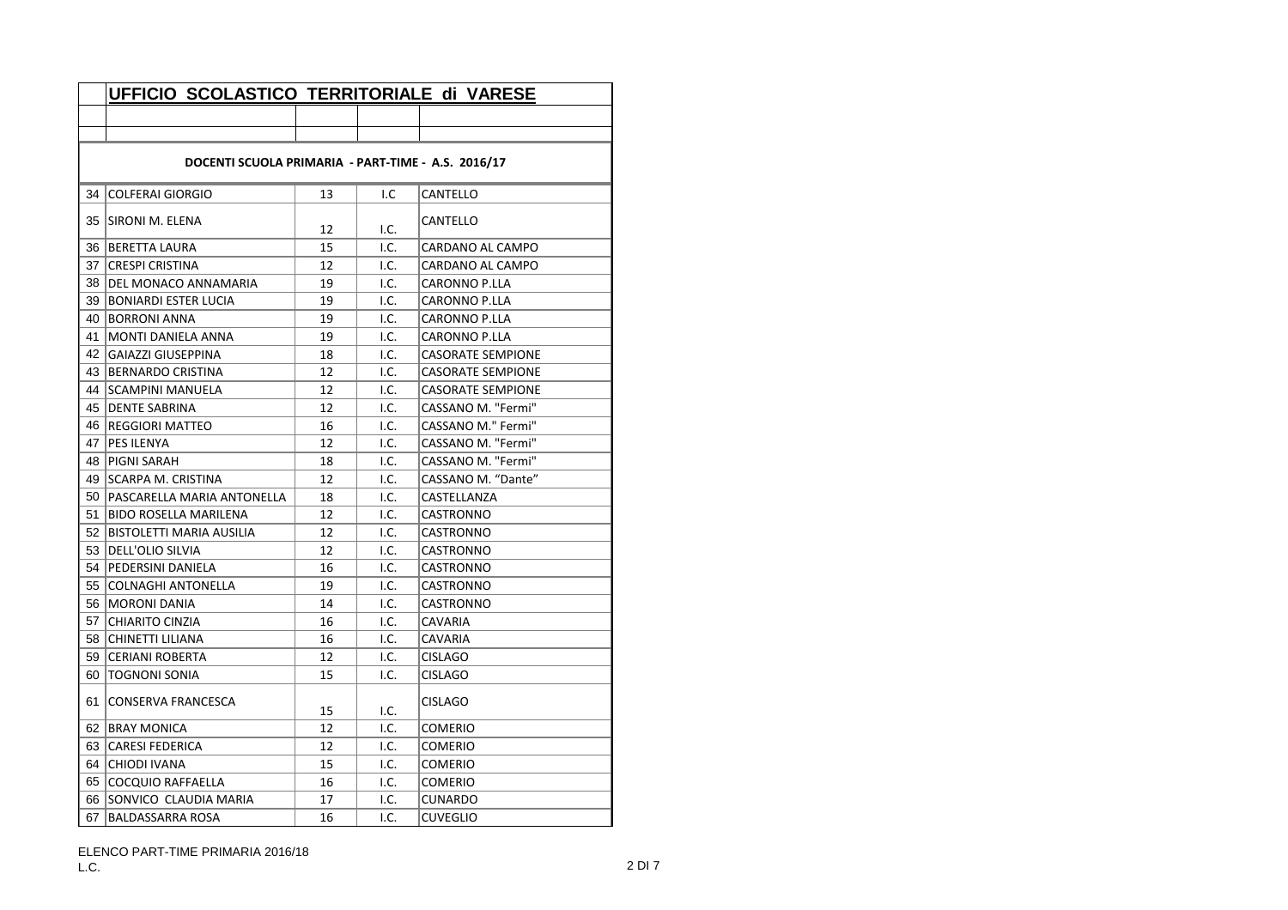|                 | UFFICIO SCOLASTICO TERRITORIALE di VARESE          |    |      |                          |  |  |
|-----------------|----------------------------------------------------|----|------|--------------------------|--|--|
|                 |                                                    |    |      |                          |  |  |
|                 |                                                    |    |      |                          |  |  |
|                 | DOCENTI SCUOLA PRIMARIA - PART-TIME - A.S. 2016/17 |    |      |                          |  |  |
| 34              | <b>COLFERAI GIORGIO</b>                            | 13 | I.C  | CANTELLO                 |  |  |
|                 | 35  SIRONI M. ELENA                                | 12 | I.C. | CANTELLO                 |  |  |
|                 | 36 BERETTA LAURA                                   | 15 | I.C. | CARDANO AL CAMPO         |  |  |
|                 | 37 CRESPI CRISTINA                                 | 12 | I.C. | CARDANO AL CAMPO         |  |  |
|                 | 38   DEL MONACO ANNAMARIA                          | 19 | I.C. | CARONNO P.LLA            |  |  |
|                 | 39 BONIARDI ESTER LUCIA                            | 19 | 1.C. | <b>CARONNO P.LLA</b>     |  |  |
| 40 l            | <b>BORRONI ANNA</b>                                | 19 | I.C. | CARONNO P.LLA            |  |  |
| 41              | MONTI DANIELA ANNA                                 | 19 | I.C. | CARONNO P.LLA            |  |  |
| 42              | <b>GAIAZZI GIUSEPPINA</b>                          | 18 | I.C. | <b>CASORATE SEMPIONE</b> |  |  |
|                 | 43 BERNARDO CRISTINA                               | 12 | I.C. | <b>CASORATE SEMPIONE</b> |  |  |
|                 | 44 SCAMPINI MANUELA                                | 12 | 1.C. | <b>CASORATE SEMPIONE</b> |  |  |
|                 | 45   DENTE SABRINA                                 | 12 | I.C. | CASSANO M. "Fermi"       |  |  |
|                 | 46   REGGIORI MATTEO                               | 16 | I.C. | CASSANO M." Fermi"       |  |  |
| 47 I            | PES ILENYA                                         | 12 | I.C. | CASSANO M. "Fermi"       |  |  |
|                 | 48   PIGNI SARAH                                   | 18 | I.C. | CASSANO M. "Fermi"       |  |  |
|                 | 49   SCARPA M. CRISTINA                            | 12 | I.C. | CASSANO M. "Dante"       |  |  |
| 50 <sub>1</sub> | PASCARELLA MARIA ANTONELLA                         | 18 | I.C. | CASTELLANZA              |  |  |
| 51              | <b>BIDO ROSELLA MARILENA</b>                       | 12 | I.C. | CASTRONNO                |  |  |
| 52              | BISTOLETTI MARIA AUSILIA                           | 12 | I.C. | CASTRONNO                |  |  |
|                 | 53   DELL'OLIO SILVIA                              | 12 | I.C. | CASTRONNO                |  |  |
|                 | 54   PEDERSINI DANIELA                             | 16 | I.C. | CASTRONNO                |  |  |
|                 | 55 COLNAGHI ANTONELLA                              | 19 | I.C. | CASTRONNO                |  |  |
| 56 I            | <b>MORONI DANIA</b>                                | 14 | I.C. | CASTRONNO                |  |  |
| 57 I            | CHIARITO CINZIA                                    | 16 | I.C. | CAVARIA                  |  |  |
|                 | 58   CHINETTI LILIANA                              | 16 | I.C. | CAVARIA                  |  |  |
| 59              | <b>CERIANI ROBERTA</b>                             | 12 | I.C. | <b>CISLAGO</b>           |  |  |
| 60              | <b>TOGNONI SONIA</b>                               | 15 | I.C. | <b>CISLAGO</b>           |  |  |
| 61              | CONSERVA FRANCESCA                                 | 15 | I.C. | <b>CISLAGO</b>           |  |  |
| 62 I            | <b>BRAY MONICA</b>                                 | 12 | I.C. | COMERIO                  |  |  |
|                 | 63 CARESI FEDERICA                                 | 12 | I.C. | COMERIO                  |  |  |
| 64 I            | <b>CHIODI IVANA</b>                                | 15 | I.C. | COMERIO                  |  |  |
| 65 I            | COCQUIO RAFFAELLA                                  | 16 | I.C. | COMERIO                  |  |  |
|                 | 66 SONVICO CLAUDIA MARIA                           | 17 | I.C. | <b>CUNARDO</b>           |  |  |
| 67              | <b>BALDASSARRA ROSA</b>                            | 16 | I.C. | <b>CUVEGLIO</b>          |  |  |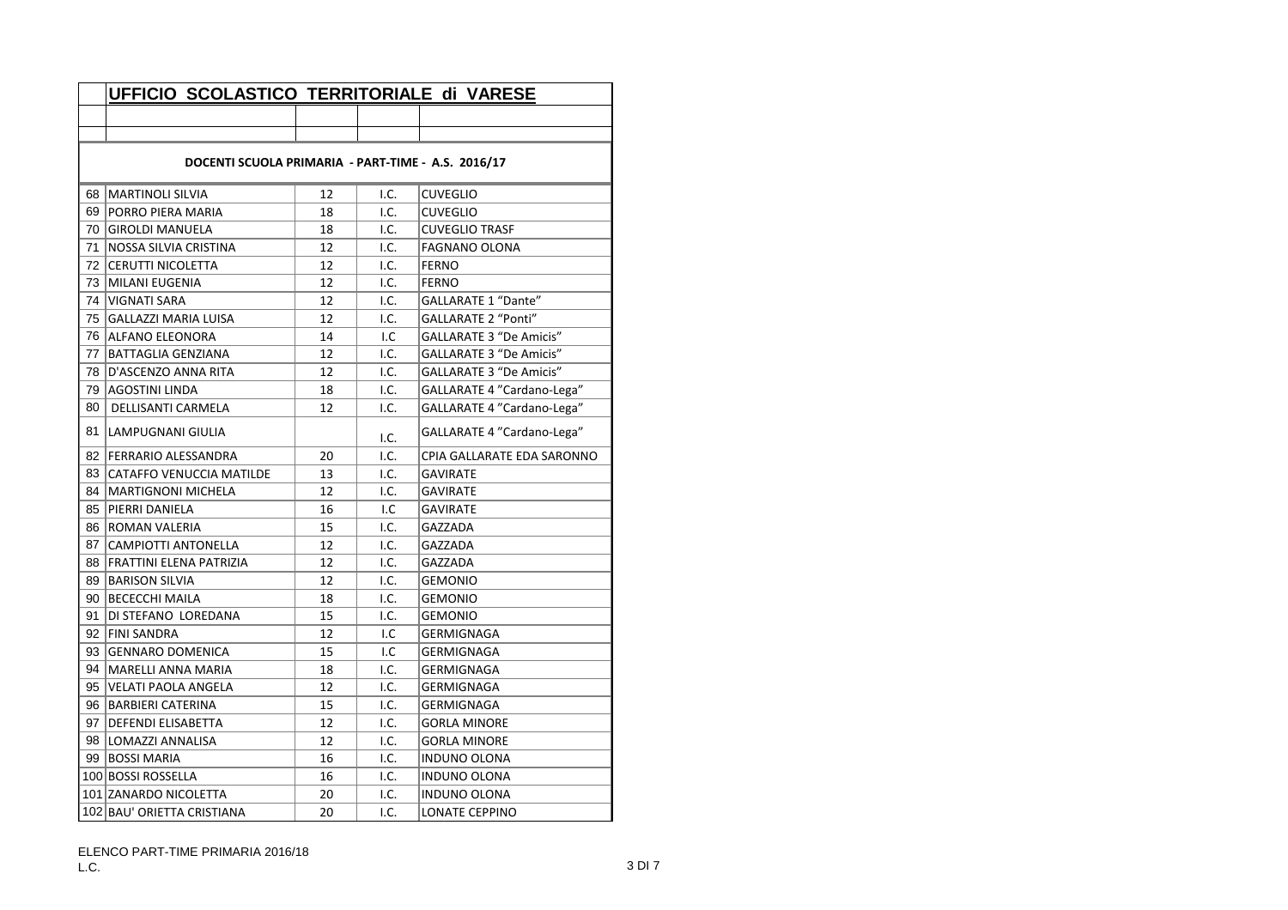|                                                    | UFFICIO SCOLASTICO TERRITORIALE di VARESE |    |      |                                |  |
|----------------------------------------------------|-------------------------------------------|----|------|--------------------------------|--|
|                                                    |                                           |    |      |                                |  |
|                                                    |                                           |    |      |                                |  |
| DOCENTI SCUOLA PRIMARIA - PART-TIME - A.S. 2016/17 |                                           |    |      |                                |  |
| 68                                                 | MARTINOLI SILVIA                          | 12 | I.C. | <b>CUVEGLIO</b>                |  |
| 69                                                 | <b>PORRO PIERA MARIA</b>                  | 18 | I.C. | <b>CUVEGLIO</b>                |  |
|                                                    | 70 GIROLDI MANUELA                        | 18 | I.C. | <b>CUVEGLIO TRASF</b>          |  |
| 71                                                 | NOSSA SILVIA CRISTINA                     | 12 | I.C. | <b>FAGNANO OLONA</b>           |  |
|                                                    | 72 CERUTTI NICOLETTA                      | 12 | I.C. | <b>FERNO</b>                   |  |
|                                                    | 73   MILANI EUGENIA                       | 12 | I.C. | <b>FERNO</b>                   |  |
|                                                    | 74   VIGNATI SARA                         | 12 | I.C. | GALLARATE 1 "Dante"            |  |
|                                                    | 75 GALLAZZI MARIA LUISA                   | 12 | I.C. | <b>GALLARATE 2 "Ponti"</b>     |  |
|                                                    | 76 ALFANO ELEONORA                        | 14 | I.C  | <b>GALLARATE 3 "De Amicis"</b> |  |
|                                                    | 77   BATTAGLIA GENZIANA                   | 12 | I.C. | <b>GALLARATE 3 "De Amicis"</b> |  |
| 78                                                 | D'ASCENZO ANNA RITA                       | 12 | I.C. | GALLARATE 3 "De Amicis"        |  |
| 79                                                 | AGOSTINI LINDA                            | 18 | I.C. | GALLARATE 4 "Cardano-Lega"     |  |
| 80                                                 | <b>DELLISANTI CARMELA</b>                 | 12 | I.C. | GALLARATE 4 "Cardano-Lega"     |  |
| 81                                                 | LAMPUGNANI GIULIA                         |    | I.C. | GALLARATE 4 "Cardano-Lega"     |  |
|                                                    | 82   FERRARIO ALESSANDRA                  | 20 | I.C. | CPIA GALLARATE EDA SARONNO     |  |
|                                                    | 83 CATAFFO VENUCCIA MATILDE               | 13 | I.C. | <b>GAVIRATE</b>                |  |
|                                                    | 84   MARTIGNONI MICHELA                   | 12 | I.C. | <b>GAVIRATE</b>                |  |
| 85                                                 | <b>PIERRI DANIELA</b>                     | 16 | I.C  | <b>GAVIRATE</b>                |  |
|                                                    | 86 ROMAN VALERIA                          | 15 | I.C. | GAZZADA                        |  |
|                                                    | 87   CAMPIOTTI ANTONELLA                  | 12 | I.C. | GAZZADA                        |  |
|                                                    | 88 FRATTINI ELENA PATRIZIA                | 12 | I.C. | GAZZADA                        |  |
|                                                    | 89 BARISON SILVIA                         | 12 | I.C. | <b>GEMONIO</b>                 |  |
| 90                                                 | <b>BECECCHI MAILA</b>                     | 18 | I.C. | <b>GEMONIO</b>                 |  |
| 91                                                 | DI STEFANO LOREDANA                       | 15 | I.C. | <b>GEMONIO</b>                 |  |
|                                                    | 92 FINI SANDRA                            | 12 | I.C  | GERMIGNAGA                     |  |
|                                                    | 93 GENNARO DOMENICA                       | 15 | I.C  | GERMIGNAGA                     |  |
| 94                                                 | <b>MARELLI ANNA MARIA</b>                 | 18 | I.C. | <b>GERMIGNAGA</b>              |  |
| 95                                                 | VELATI PAOLA ANGELA                       | 12 | I.C. | GERMIGNAGA                     |  |
|                                                    | 96   BARBIERI CATERINA                    | 15 | I.C. | <b>GERMIGNAGA</b>              |  |
|                                                    | 97   DEFENDI ELISABETTA                   | 12 | I.C. | <b>GORLA MINORE</b>            |  |
|                                                    | 98   LOMAZZI ANNALISA                     | 12 | I.C. | <b>GORLA MINORE</b>            |  |
|                                                    | 99 BOSSI MARIA                            | 16 | I.C. | <b>INDUNO OLONA</b>            |  |
|                                                    | 100 BOSSI ROSSELLA                        | 16 | I.C. | <b>INDUNO OLONA</b>            |  |
|                                                    | 101 ZANARDO NICOLETTA                     | 20 | I.C. | <b>INDUNO OLONA</b>            |  |
|                                                    | 102 BAU' ORIETTA CRISTIANA                | 20 | I.C. | <b>LONATE CEPPINO</b>          |  |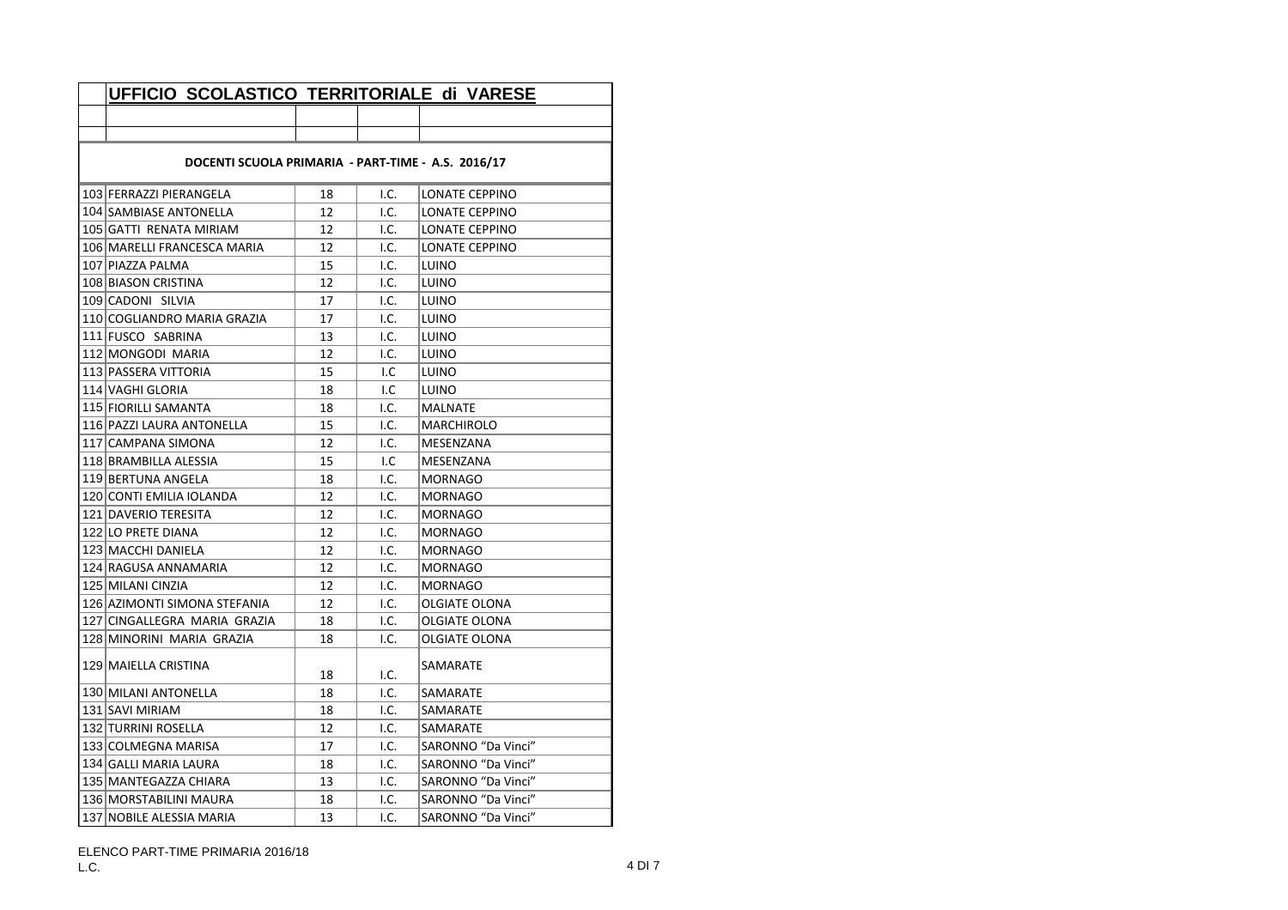| UFFICIO SCOLASTICO TERRITORIALE di VARESE          |    |      |                      |  |  |
|----------------------------------------------------|----|------|----------------------|--|--|
|                                                    |    |      |                      |  |  |
|                                                    |    |      |                      |  |  |
| DOCENTI SCUOLA PRIMARIA - PART-TIME - A.S. 2016/17 |    |      |                      |  |  |
| 103 FERRAZZI PIERANGELA                            | 18 | I.C. | LONATE CEPPINO       |  |  |
| 104 SAMBIASE ANTONELLA                             | 12 | I.C. | LONATE CEPPINO       |  |  |
| 105 GATTI RENATA MIRIAM                            | 12 | I.C. | LONATE CEPPINO       |  |  |
| 106 MARELLI FRANCESCA MARIA                        | 12 | I.C. | LONATE CEPPINO       |  |  |
| 107 PIAZZA PALMA                                   | 15 | I.C. | LUINO                |  |  |
| 108 BIASON CRISTINA                                | 12 | I.C. | LUINO                |  |  |
| 109 CADONI SILVIA                                  | 17 | I.C. | LUINO                |  |  |
| 110 COGLIANDRO MARIA GRAZIA                        | 17 | I.C. | LUINO                |  |  |
| 111 FUSCO SABRINA                                  | 13 | I.C. | LUINO                |  |  |
| 112 MONGODI MARIA                                  | 12 | I.C. | LUINO                |  |  |
| 113 PASSERA VITTORIA                               | 15 | I.C  | LUINO                |  |  |
| 114 VAGHI GLORIA                                   | 18 | I.C  | LUINO                |  |  |
| 115 FIORILLI SAMANTA                               | 18 | I.C. | <b>MALNATE</b>       |  |  |
| 116 PAZZI LAURA ANTONELLA                          | 15 | I.C. | <b>MARCHIROLO</b>    |  |  |
| 117 CAMPANA SIMONA                                 | 12 | I.C. | MESENZANA            |  |  |
| 118 BRAMBILLA ALESSIA                              | 15 | I.C  | MESENZANA            |  |  |
| 119 BERTUNA ANGELA                                 | 18 | I.C. | <b>MORNAGO</b>       |  |  |
| 120 CONTI EMILIA IOLANDA                           | 12 | I.C. | <b>MORNAGO</b>       |  |  |
| 121 DAVERIO TERESITA                               | 12 | I.C. | <b>MORNAGO</b>       |  |  |
| 122 LO PRETE DIANA                                 | 12 | I.C. | MORNAGO              |  |  |
| 123 MACCHI DANIELA                                 | 12 | I.C. | MORNAGO              |  |  |
| 124 RAGUSA ANNAMARIA                               | 12 | I.C. | <b>MORNAGO</b>       |  |  |
| 125 MILANI CINZIA                                  | 12 | I.C. | <b>MORNAGO</b>       |  |  |
| 126 AZIMONTI SIMONA STEFANIA                       | 12 | I.C. | <b>OLGIATE OLONA</b> |  |  |
| 127 CINGALLEGRA MARIA GRAZIA                       | 18 | I.C. | OLGIATE OLONA        |  |  |
| 128 MINORINI MARIA GRAZIA                          | 18 | I.C. | OLGIATE OLONA        |  |  |
| 129 MAIELLA CRISTINA                               | 18 | I.C. | SAMARATE             |  |  |
| 130 MILANI ANTONELLA                               | 18 | I.C. | SAMARATE             |  |  |
| 131 SAVI MIRIAM                                    | 18 | I.C. | SAMARATE             |  |  |
| 132 TURRINI ROSELLA                                | 12 | I.C. | SAMARATE             |  |  |
| 133 COLMEGNA MARISA                                | 17 | I.C. | SARONNO "Da Vinci"   |  |  |
| 134 GALLI MARIA LAURA                              | 18 | I.C. | SARONNO "Da Vinci"   |  |  |
| 135   MANTEGAZZA CHIARA                            | 13 | I.C. | SARONNO "Da Vinci"   |  |  |
| 136 MORSTABILINI MAURA                             | 18 | I.C. | SARONNO "Da Vinci"   |  |  |
| 137 NOBILE ALESSIA MARIA                           | 13 | I.C. | SARONNO "Da Vinci"   |  |  |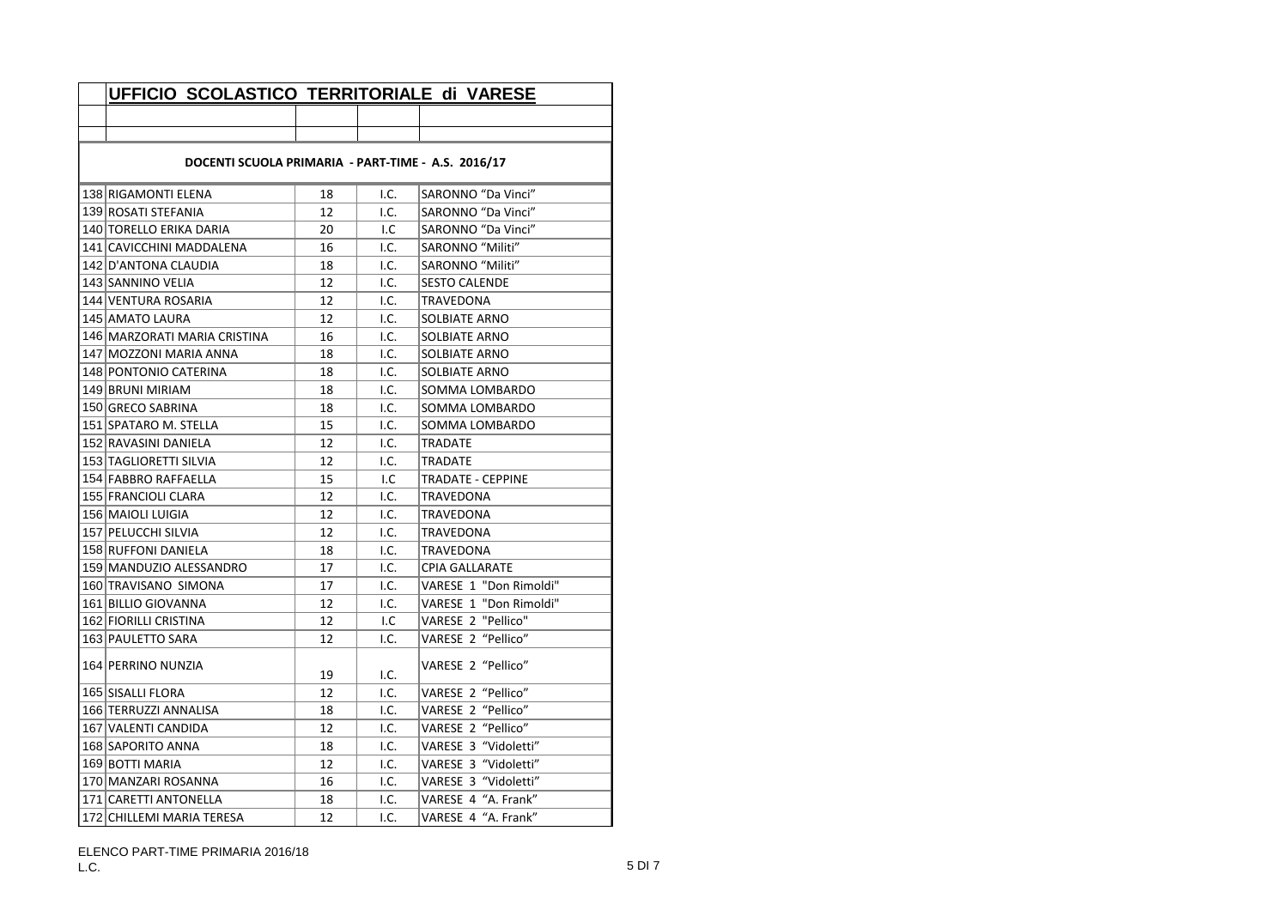| UFFICIO SCOLASTICO TERRITORIALE di VARESE          |    |      |                        |  |  |
|----------------------------------------------------|----|------|------------------------|--|--|
|                                                    |    |      |                        |  |  |
|                                                    |    |      |                        |  |  |
| DOCENTI SCUOLA PRIMARIA - PART-TIME - A.S. 2016/17 |    |      |                        |  |  |
| 138 RIGAMONTI ELENA                                | 18 | I.C. | SARONNO "Da Vinci"     |  |  |
| 139 ROSATI STEFANIA                                | 12 | I.C. | SARONNO "Da Vinci"     |  |  |
| 140 TORELLO ERIKA DARIA                            | 20 | I.C  | SARONNO "Da Vinci"     |  |  |
| 141 CAVICCHINI MADDALENA                           | 16 | I.C. | SARONNO "Militi"       |  |  |
| 142 D'ANTONA CLAUDIA                               | 18 | I.C. | SARONNO "Militi"       |  |  |
| 143 SANNINO VELIA                                  | 12 | I.C. | <b>SESTO CALENDE</b>   |  |  |
| 144 VENTURA ROSARIA                                | 12 | I.C. | TRAVEDONA              |  |  |
| 145 AMATO LAURA                                    | 12 | I.C. | SOLBIATE ARNO          |  |  |
| 146 MARZORATI MARIA CRISTINA                       | 16 | I.C. | SOLBIATE ARNO          |  |  |
| 147 MOZZONI MARIA ANNA                             | 18 | I.C. | SOLBIATE ARNO          |  |  |
| 148 PONTONIO CATERINA                              | 18 | I.C. | SOLBIATE ARNO          |  |  |
| 149 BRUNI MIRIAM                                   | 18 | I.C. | SOMMA LOMBARDO         |  |  |
| 150 GRECO SABRINA                                  | 18 | I.C. | SOMMA LOMBARDO         |  |  |
| 151 SPATARO M. STELLA                              | 15 | I.C. | SOMMA LOMBARDO         |  |  |
| 152 RAVASINI DANIELA                               | 12 | I.C. | <b>TRADATE</b>         |  |  |
| 153 TAGLIORETTI SILVIA                             | 12 | I.C. | TRADATE                |  |  |
| 154 FABBRO RAFFAELLA                               | 15 | I.C  | TRADATE - CEPPINE      |  |  |
| 155 FRANCIOLI CLARA                                | 12 | I.C. | TRAVEDONA              |  |  |
| 156 MAIOLI LUIGIA                                  | 12 | I.C. | TRAVEDONA              |  |  |
| 157 PELUCCHI SILVIA                                | 12 | I.C. | TRAVEDONA              |  |  |
| 158 RUFFONI DANIELA                                | 18 | I.C. | TRAVEDONA              |  |  |
| 159 MANDUZIO ALESSANDRO                            | 17 | I.C. | <b>CPIA GALLARATE</b>  |  |  |
| 160 TRAVISANO SIMONA                               | 17 | I.C. | VARESE 1 "Don Rimoldi" |  |  |
| 161 BILLIO GIOVANNA                                | 12 | I.C. | VARESE 1 "Don Rimoldi" |  |  |
| 162 FIORILLI CRISTINA                              | 12 | I.C  | VARESE 2 "Pellico"     |  |  |
| 163 PAULETTO SARA                                  | 12 | I.C. | VARESE 2 "Pellico"     |  |  |
| 164 PERRINO NUNZIA                                 | 19 | I.C. | VARESE 2 "Pellico"     |  |  |
| 165 SISALLI FLORA                                  | 12 | I.C. | VARESE 2 "Pellico"     |  |  |
| 166 TERRUZZI ANNALISA                              | 18 | I.C. | VARESE 2 "Pellico"     |  |  |
| 167 VALENTI CANDIDA                                | 12 | I.C. | VARESE 2 "Pellico"     |  |  |
| 168 SAPORITO ANNA                                  | 18 | I.C. | VARESE 3 "Vidoletti"   |  |  |
| 169 BOTTI MARIA                                    | 12 | I.C. | VARESE 3 "Vidoletti"   |  |  |
| 170 MANZARI ROSANNA                                | 16 | I.C. | VARESE 3 "Vidoletti"   |  |  |
| 171 CARETTI ANTONELLA                              | 18 | I.C. | VARESE 4 "A. Frank"    |  |  |
| 172 CHILLEMI MARIA TERESA                          | 12 | I.C. | VARESE 4 "A. Frank"    |  |  |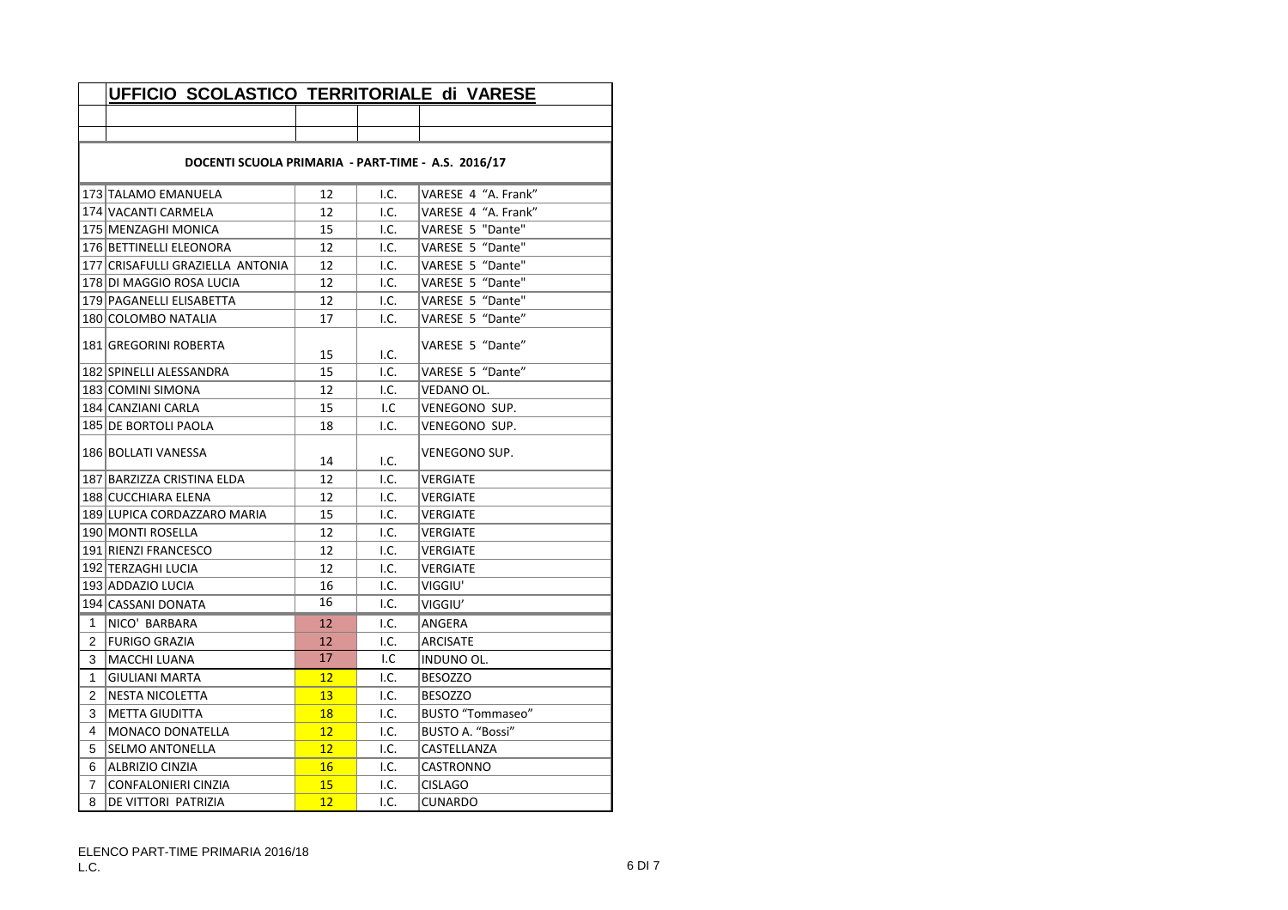|              | UFFICIO SCOLASTICO TERRITORIALE di VARESE          |    |      |                         |  |  |  |
|--------------|----------------------------------------------------|----|------|-------------------------|--|--|--|
|              |                                                    |    |      |                         |  |  |  |
|              |                                                    |    |      |                         |  |  |  |
|              | DOCENTI SCUOLA PRIMARIA - PART-TIME - A.S. 2016/17 |    |      |                         |  |  |  |
|              | 173 TALAMO EMANUELA                                | 12 | 1.C. | VARESE 4 "A. Frank"     |  |  |  |
|              | 174 VACANTI CARMELA                                | 12 | I.C. | VARESE 4 "A. Frank"     |  |  |  |
|              | 175   MENZAGHI MONICA                              | 15 | I.C. | VARESE 5 "Dante"        |  |  |  |
|              | 176 BETTINELLI ELEONORA                            | 12 | I.C. | VARESE 5 "Dante"        |  |  |  |
|              | 177 CRISAFULLI GRAZIELLA ANTONIA                   | 12 | I.C. | VARESE 5 "Dante"        |  |  |  |
|              | 178 DI MAGGIO ROSA LUCIA                           | 12 | 1.C. | VARESE 5 "Dante"        |  |  |  |
|              | 179 PAGANELLI ELISABETTA                           | 12 | I.C. | VARESE 5 "Dante"        |  |  |  |
|              | 180 COLOMBO NATALIA                                | 17 | I.C. | VARESE 5 "Dante"        |  |  |  |
|              | 181 GREGORINI ROBERTA                              | 15 | I.C. | VARESE 5 "Dante"        |  |  |  |
|              | 182 SPINELLI ALESSANDRA                            | 15 | I.C. | VARESE 5 "Dante"        |  |  |  |
|              | 183 COMINI SIMONA                                  | 12 | I.C. | VEDANO OL.              |  |  |  |
|              | 184 CANZIANI CARLA                                 | 15 | I.C  | VENEGONO SUP.           |  |  |  |
|              | 185 DE BORTOLI PAOLA                               | 18 | I.C. | VENEGONO SUP.           |  |  |  |
|              | 186 BOLLATI VANESSA                                | 14 | I.C. | VENEGONO SUP.           |  |  |  |
|              | 187 BARZIZZA CRISTINA ELDA                         | 12 | I.C. | <b>VERGIATE</b>         |  |  |  |
|              | 188 CUCCHIARA ELENA                                | 12 | I.C. | VERGIATE                |  |  |  |
|              | 189 LUPICA CORDAZZARO MARIA                        | 15 | I.C. | VERGIATE                |  |  |  |
|              | 190 MONTI ROSELLA                                  | 12 | I.C. | <b>VERGIATE</b>         |  |  |  |
|              | 191 RIENZI FRANCESCO                               | 12 | 1.C. | <b>VERGIATE</b>         |  |  |  |
|              | 192 TERZAGHI LUCIA                                 | 12 | 1.C. | <b>VERGIATE</b>         |  |  |  |
|              | 193 ADDAZIO LUCIA                                  | 16 | I.C. | VIGGIU'                 |  |  |  |
|              | 194 CASSANI DONATA                                 | 16 | I.C. | VIGGIU'                 |  |  |  |
| 1            | NICO' BARBARA                                      | 12 | I.C. | ANGERA                  |  |  |  |
| 2            | <b>FURIGO GRAZIA</b>                               | 12 | I.C. | <b>ARCISATE</b>         |  |  |  |
| 3            | <b>MACCHI LUANA</b>                                | 17 | I.C  | <b>INDUNO OL.</b>       |  |  |  |
| $\mathbf{1}$ | <b>GIULIANI MARTA</b>                              | 12 | 1.C. | <b>BESOZZO</b>          |  |  |  |
| 2            | <b>NESTA NICOLETTA</b>                             | 13 | 1.C. | <b>BESOZZO</b>          |  |  |  |
| 3            | <b>METTA GIUDITTA</b>                              | 18 | I.C. | <b>BUSTO "Tommaseo"</b> |  |  |  |
| 4            | MONACO DONATELLA                                   | 12 | I.C. | BUSTO A. "Bossi"        |  |  |  |
| 5            | <b>SELMO ANTONELLA</b>                             | 12 | I.C. | CASTELLANZA             |  |  |  |
| 6            | ALBRIZIO CINZIA                                    | 16 | I.C. | CASTRONNO               |  |  |  |
| 7            | CONFALONIERI CINZIA                                | 15 | I.C. | <b>CISLAGO</b>          |  |  |  |
| 8            | DE VITTORI PATRIZIA                                | 12 | I.C. | <b>CUNARDO</b>          |  |  |  |